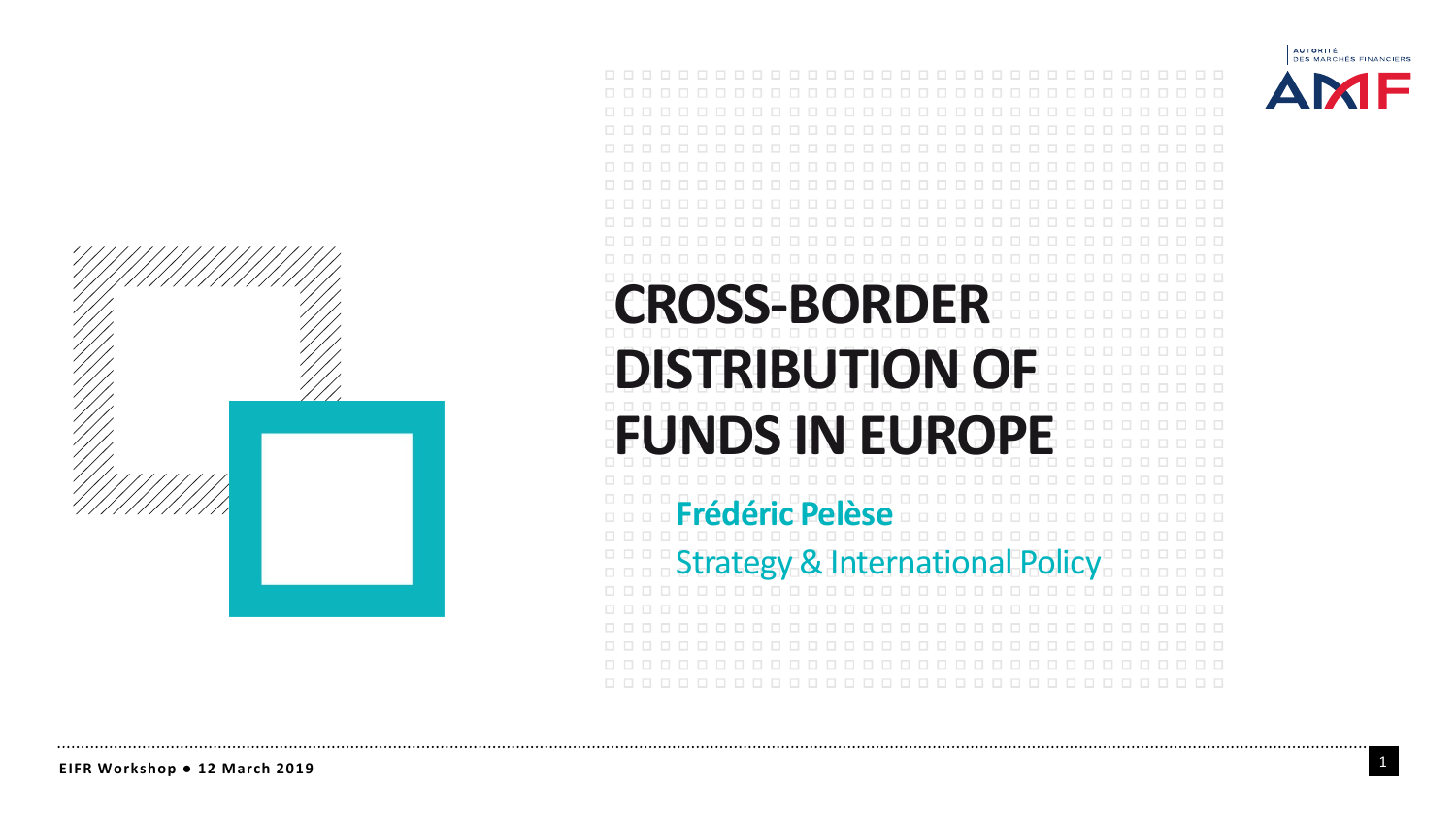



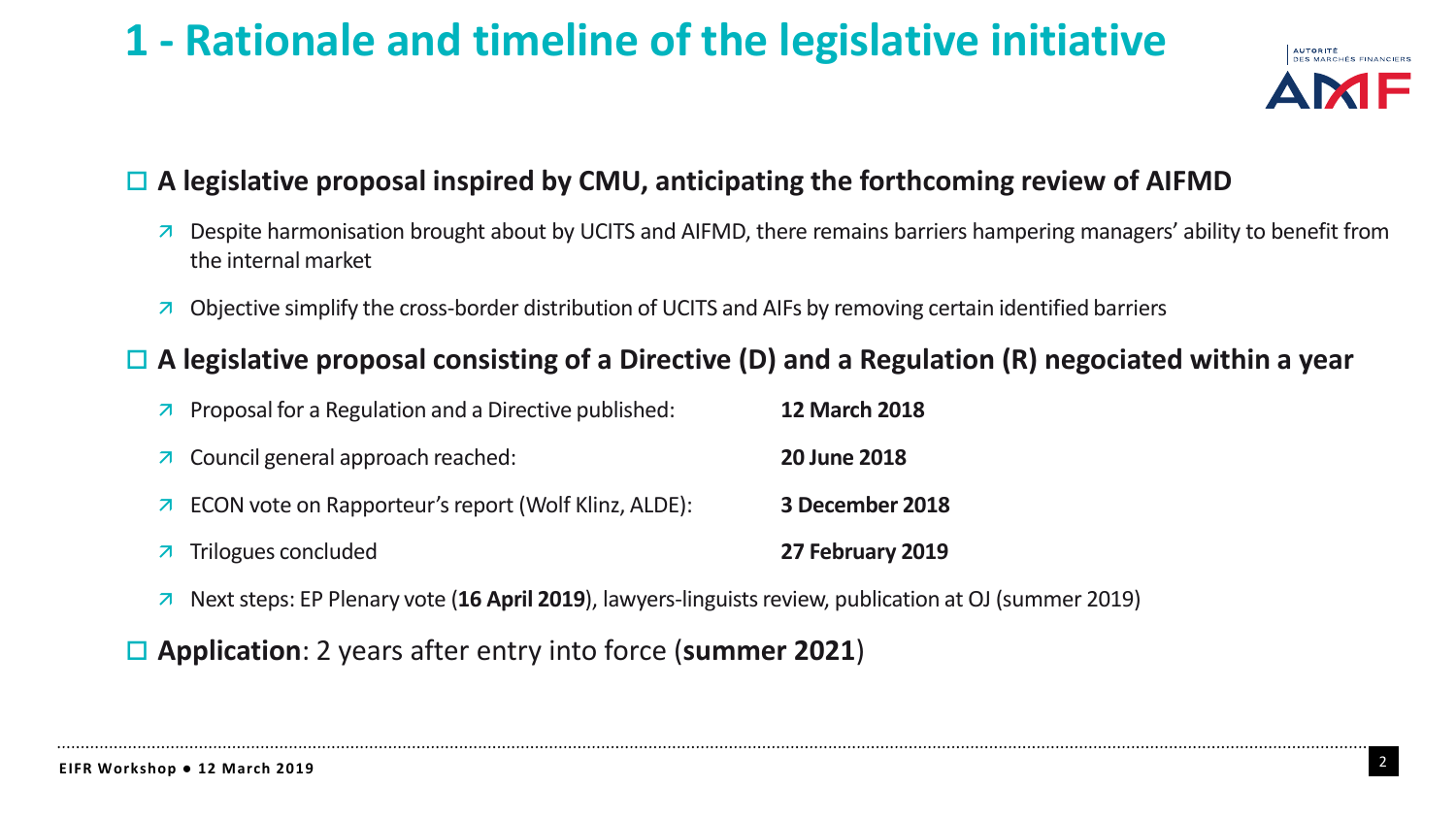# **1 - Rationale and timeline of the legislative initiative**



## **A legislative proposal inspired by CMU, anticipating the forthcoming review of AIFMD**

- $\overline{a}$  Despite harmonisation brought about by UCITS and AIFMD, there remains barriers hampering managers' ability to benefit from the internal market
- Objective simplify the cross-border distribution of UCITS and AIFs by removing certain identified barriers

## **A legislative proposal consisting of a Directive (D) and a Regulation (R) negociated within a year**

| $\triangleright$ Proposal for a Regulation and a Directive published: | <b>12 March 2018</b> |
|-----------------------------------------------------------------------|----------------------|
| $\overline{\phantom{a}}$ Council general approach reached:            | <b>20 June 2018</b>  |
| <b>7</b> ECON vote on Rapporteur's report (Wolf Klinz, ALDE):         | 3 December 2018      |
| $\overline{z}$ Trilogues concluded                                    | 27 February 2019     |

Nextsteps: EP Plenary vote (**16 April 2019**), lawyers-linguistsreview, publication at OJ (summer 2019)

**Application**: 2 years after entry into force (**summer 2021**)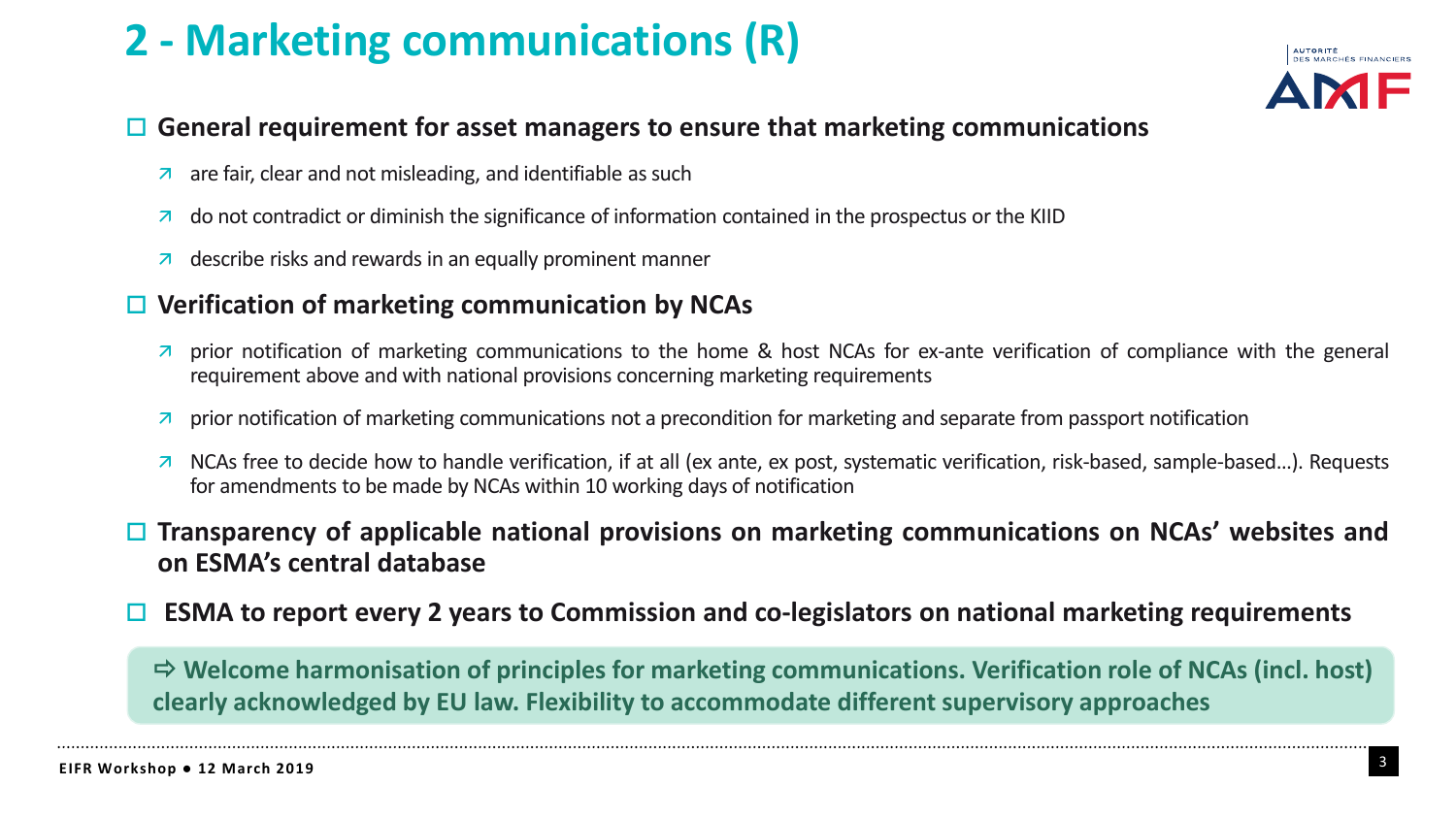# **2 - Marketing communications (R)**



### **General requirement for asset managers to ensure that marketing communications**

- $\overline{a}$  are fair, clear and not misleading, and identifiable as such
- $\overline{a}$  do not contradict or diminish the significance of information contained in the prospectus or the KIID
- $\overline{a}$  describe risks and rewards in an equally prominent manner

### **Verification of marketing communication by NCAs**

- $\overline{a}$  prior notification of marketing communications to the home & host NCAs for ex-ante verification of compliance with the general requirement above and with national provisions concerning marketing requirements
- $\overline{a}$  prior notification of marketing communications not a precondition for marketing and separate from passport notification
- NCAs free to decide how to handle verification, if at all (ex ante, ex post, systematic verification, risk-based, sample-based…). Requests for amendments to be made by NCAs within 10 working days of notification

### **Transparency of applicable national provisions on marketing communications on NCAs' websites and on ESMA's central database**

**ESMA to report every 2 years to Commission and co-legislators on national marketing requirements**

 **Welcome harmonisation of principles for marketing communications. Verification role of NCAs (incl. host) clearly acknowledged by EU law. Flexibility to accommodate different supervisory approaches**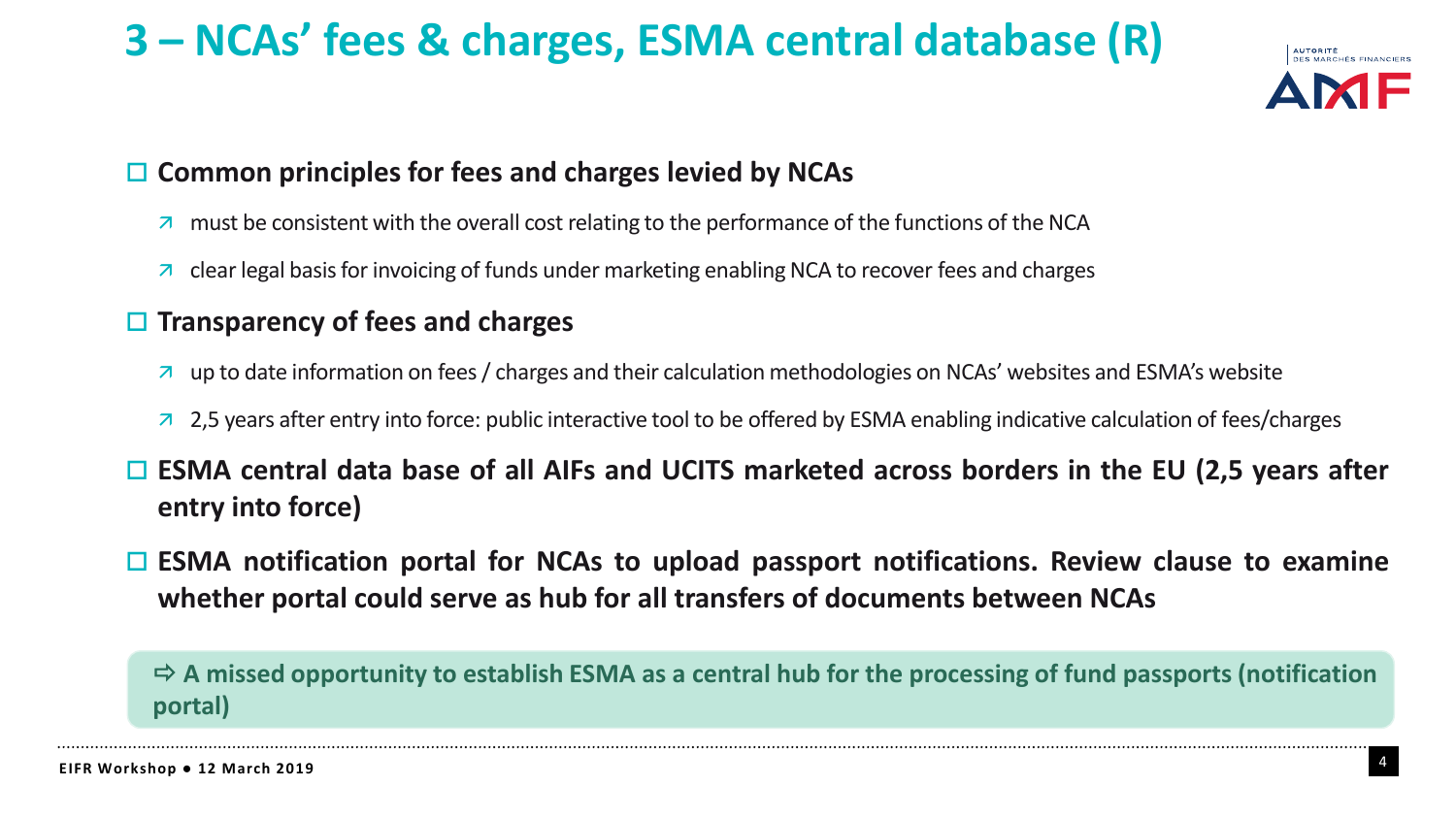# **3 – NCAs' fees & charges, ESMA central database (R)**



## **Common principles for fees and charges levied by NCAs**

- $\overline{a}$  must be consistent with the overall cost relating to the performance of the functions of the NCA
- $\overline{\phantom{a}}$  clear legal basis for invoicing of funds under marketing enabling NCA to recover fees and charges

## **Transparency of fees and charges**

- up to date information on fees/ charges and their calculation methodologies on NCAs' websites and ESMA's website
- 2.5 years after entry into force: public interactive tool to be offered by ESMA enabling indicative calculation of fees/charges
- **ESMA central data base of all AIFs and UCITS marketed across borders in the EU (2,5 years after entry into force)**
- **ESMA notification portal for NCAs to upload passport notifications. Review clause to examine whether portal could serve as hub for all transfers of documents between NCAs**

 **A missed opportunity to establish ESMA as a central hub for the processing of fund passports (notification portal)**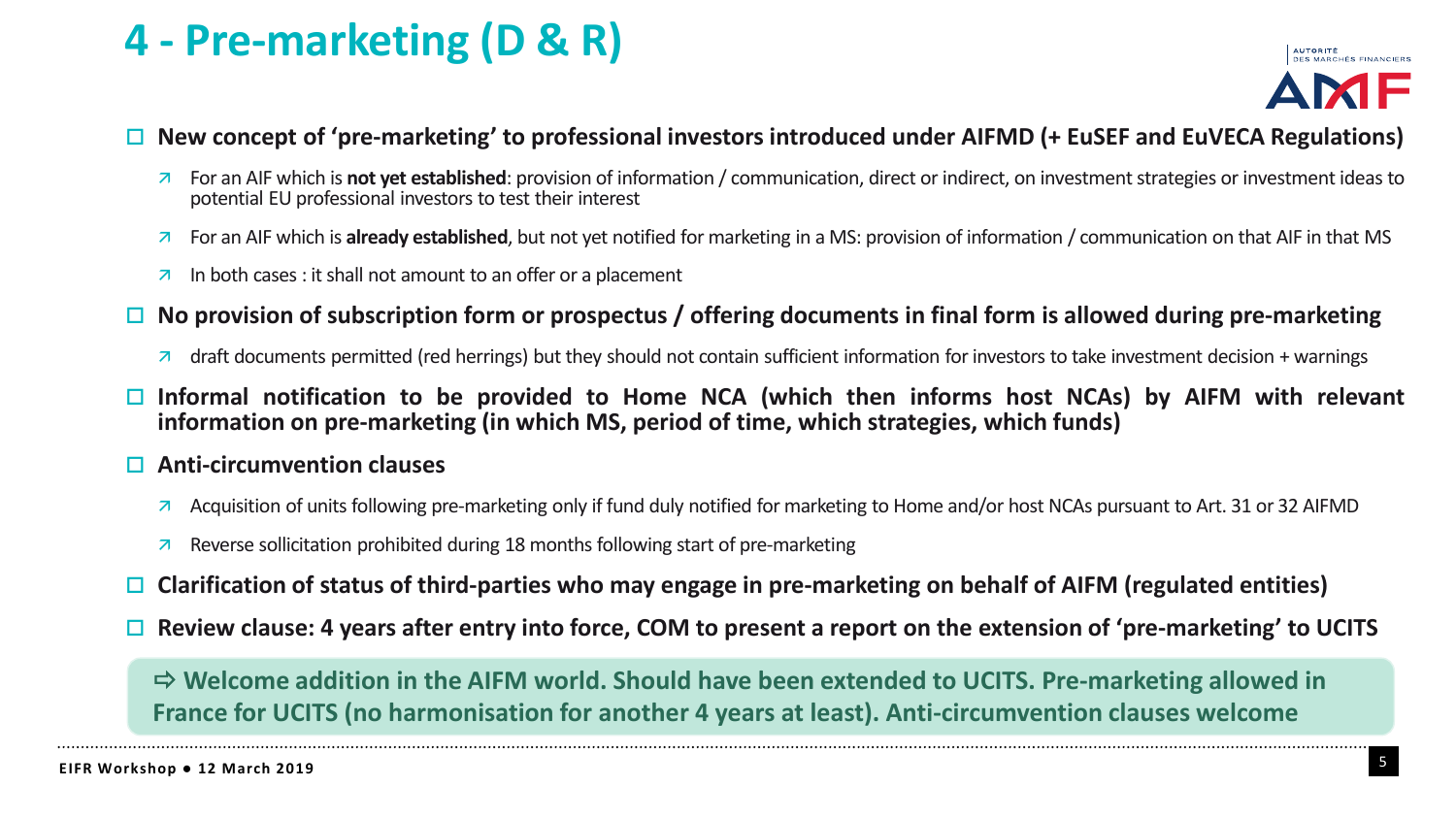## **4 - Pre-marketing (D & R)**



### $\Box$  New concept of 'pre-marketing' to professional investors introduced under AIFMD (+ EuSEF and EuVECA Regulations)

- For an AIF which is **not yet established**: provision of information / communication, direct or indirect, on investmentstrategies or investment ideas to potential EU professional investors to test their interest
- For an AIF which is **already established**, but not yet notified for marketing in a MS: provision of information / communication on that AIF in that MS
- $\overline{\phantom{a}}$  In both cases : it shall not amount to an offer or a placement
- $\Box$  No provision of subscription form or prospectus / offering documents in final form is allowed during pre-marketing
	- $\overline{a}$  draft documents permitted (red herrings) but they should not contain sufficient information for investors to take investment decision + warnings
- **Informal notification to be provided to Home NCA (which then informs host NCAs) by AIFM with relevant information on pre-marketing (in which MS, period of time, which strategies, which funds)**

#### **Anti-circumvention clauses**

- A Acquisition of units following pre-marketing only if fund duly notified for marketing to Home and/or host NCAs pursuant to Art. 31 or 32 AIFMD
- **Reverse sollicitation prohibited during 18 months following start of pre-marketing**
- **Clarification of status of third-parties who may engage in pre-marketing on behalf of AIFM (regulated entities)**
- Review clause: 4 years after entry into force, COM to present a report on the extension of 'pre-marketing' to UCITS

 **Welcome addition in the AIFM world. Should have been extended to UCITS. Pre-marketing allowed in France for UCITS (no harmonisation for another 4 years at least). Anti-circumvention clauses welcome**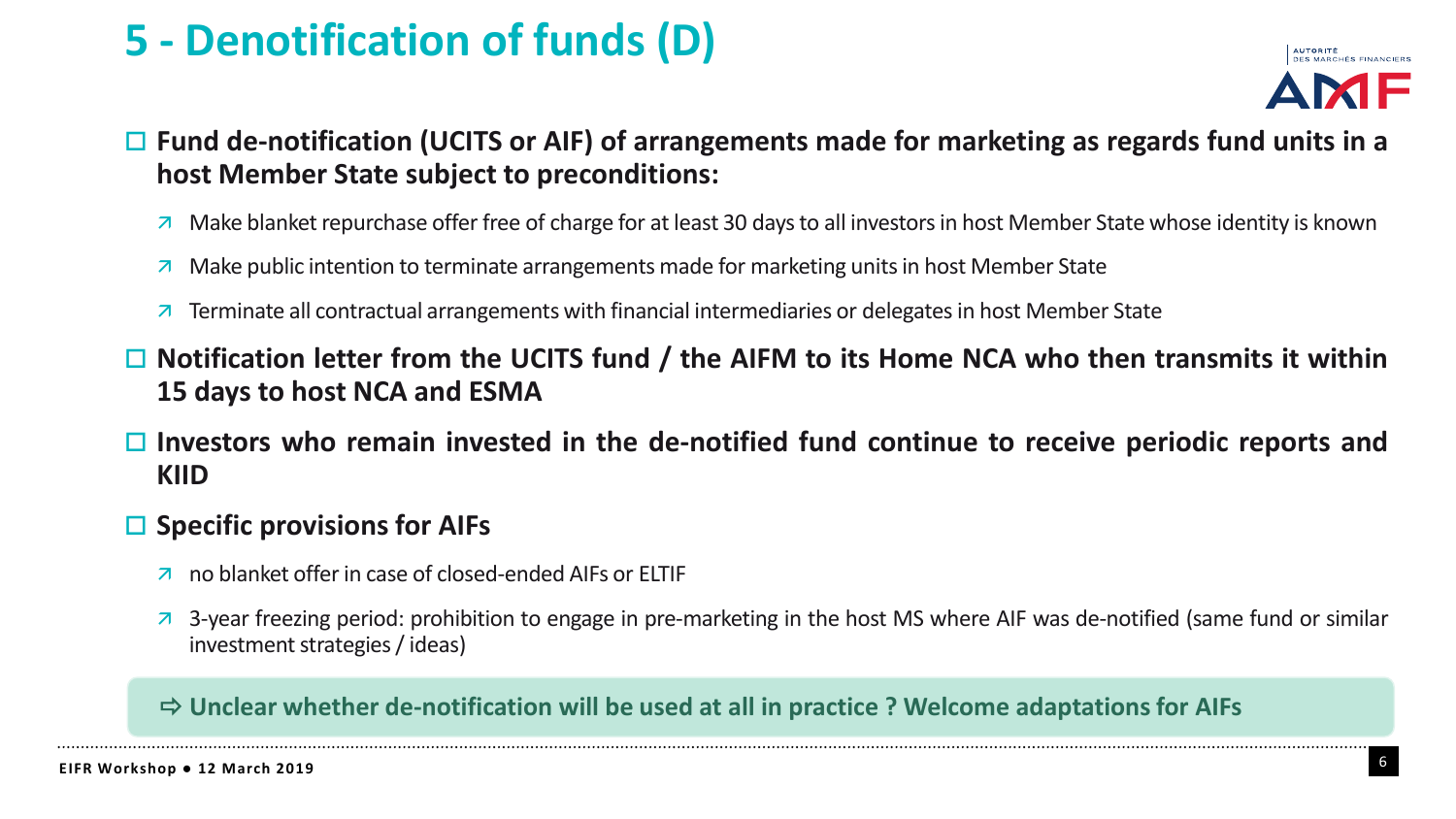# **5 - Denotification of funds (D)**



## **Fund de-notification (UCITS or AIF) of arrangements made for marketing as regards fund units in a host Member State subject to preconditions:**

- $\overline{a}$  Make blanket repurchase offer free of charge for at least 30 days to all investors in host Member State whose identity is known
- Make public intention to terminate arrangements made for marketing unitsin host Member State
- $\overline{z}$  Terminate all contractual arrangements with financial intermediaries or delegates in host Member State
- **Notification letter from the UCITS fund / the AIFM to its Home NCA who then transmits it within 15 days to host NCA and ESMA**
- **Investors who remain invested in the de-notified fund continue to receive periodic reports and KIID**

### **Specific provisions for AIFs**

- no blanket offer in case of closed-ended AIFs or ELTIF
- 3-year freezing period: prohibition to engage in pre-marketing in the host MS where AIF was de-notified (same fund or similar investment strategies / ideas)

### **Unclear whether de-notification will be used at all in practice ? Welcome adaptations for AIFs**